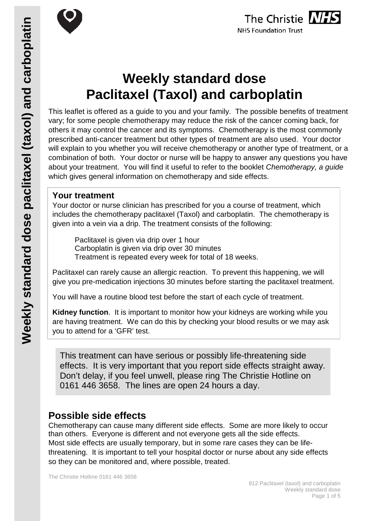

# **Weekly standard dose Paclitaxel (Taxol) and carboplatin**

This leaflet is offered as a guide to you and your family. The possible benefits of treatment vary; for some people chemotherapy may reduce the risk of the cancer coming back, for others it may control the cancer and its symptoms. Chemotherapy is the most commonly prescribed anti-cancer treatment but other types of treatment are also used. Your doctor will explain to you whether you will receive chemotherapy or another type of treatment, or a combination of both. Your doctor or nurse will be happy to answer any questions you have about your treatment. You will find it useful to refer to the booklet *Chemotherapy, a guide* which gives general information on chemotherapy and side effects.

## **Your treatment**

Your doctor or nurse clinician has prescribed for you a course of treatment, which includes the chemotherapy paclitaxel (Taxol) and carboplatin. The chemotherapy is given into a vein via a drip. The treatment consists of the following:

Paclitaxel is given via drip over 1 hour Carboplatin is given via drip over 30 minutes Treatment is repeated every week for total of 18 weeks.

Paclitaxel can rarely cause an allergic reaction. To prevent this happening, we will give you pre-medication injections 30 minutes before starting the paclitaxel treatment.

You will have a routine blood test before the start of each cycle of treatment.

**Kidney function**. It is important to monitor how your kidneys are working while you are having treatment. We can do this by checking your blood results or we may ask you to attend for a 'GFR' test.

This treatment can have serious or possibly life-threatening side effects. It is very important that you report side effects straight away. Don't delay, if you feel unwell, please ring The Christie Hotline on 0161 446 3658. The lines are open 24 hours a day.

# **Possible side effects**

Chemotherapy can cause many different side effects. Some are more likely to occur than others. Everyone is different and not everyone gets all the side effects. Most side effects are usually temporary, but in some rare cases they can be lifethreatening. It is important to tell your hospital doctor or nurse about any side effects so they can be monitored and, where possible, treated.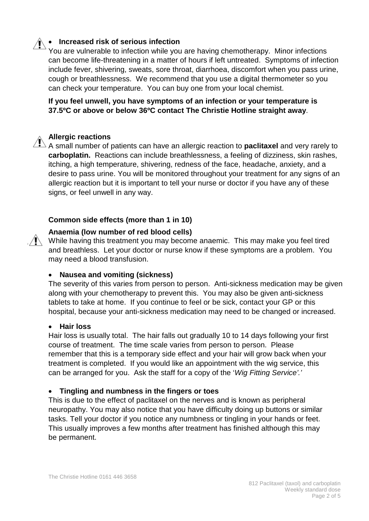## • **Increased risk of serious infection**

You are vulnerable to infection while you are having chemotherapy. Minor infections can become life-threatening in a matter of hours if left untreated. Symptoms of infection include fever, shivering, sweats, sore throat, diarrhoea, discomfort when you pass urine, cough or breathlessness. We recommend that you use a digital thermometer so you can check your temperature. You can buy one from your local chemist.

**If you feel unwell, you have symptoms of an infection or your temperature is 37.5ºC or above or below 36ºC contact The Christie Hotline straight away**.

#### **Allergic reactions**

A small number of patients can have an allergic reaction to **paclitaxel** and very rarely to **carboplatin.** Reactions can include breathlessness, a feeling of dizziness, skin rashes, itching, a high temperature, shivering, redness of the face, headache, anxiety, and a desire to pass urine. You will be monitored throughout your treatment for any signs of an allergic reaction but it is important to tell your nurse or doctor if you have any of these signs, or feel unwell in any way.

#### **Common side effects (more than 1 in 10)**

#### **Anaemia (low number of red blood cells)**

 $\mathbb{N}$  While having this treatment you may become anaemic. This may make you feel tired and breathless. Let your doctor or nurse know if these symptoms are a problem. You may need a blood transfusion.

#### • **Nausea and vomiting (sickness)**

The severity of this varies from person to person. Anti-sickness medication may be given along with your chemotherapy to prevent this. You may also be given anti-sickness tablets to take at home. If you continue to feel or be sick, contact your GP or this hospital, because your anti-sickness medication may need to be changed or increased.

#### • **Hair loss**

Hair loss is usually total. The hair falls out gradually 10 to 14 days following your first course of treatment. The time scale varies from person to person. Please remember that this is a temporary side effect and your hair will grow back when your treatment is completed. If you would like an appointment with the wig service, this can be arranged for you. Ask the staff for a copy of the '*Wig Fitting Service'.'*

#### • **Tingling and numbness in the fingers or toes**

This is due to the effect of paclitaxel on the nerves and is known as peripheral neuropathy. You may also notice that you have difficulty doing up buttons or similar tasks. Tell your doctor if you notice any numbness or tingling in your hands or feet. This usually improves a few months after treatment has finished although this may be permanent.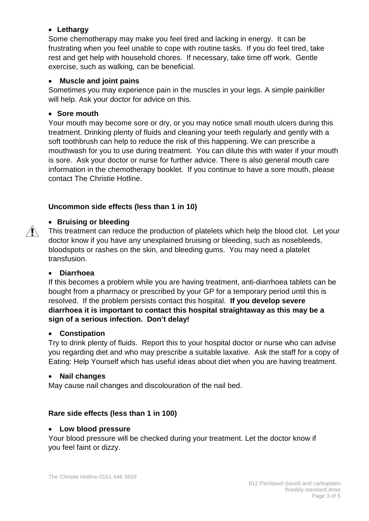#### • **Lethargy**

Some chemotherapy may make you feel tired and lacking in energy. It can be frustrating when you feel unable to cope with routine tasks. If you do feel tired, take rest and get help with household chores. If necessary, take time off work. Gentle exercise, such as walking, can be beneficial.

#### • **Muscle and joint pains**

Sometimes you may experience pain in the muscles in your legs. A simple painkiller will help. Ask your doctor for advice on this.

#### • **Sore mouth**

Your mouth may become sore or dry, or you may notice small mouth ulcers during this treatment. Drinking plenty of fluids and cleaning your teeth regularly and gently with a soft toothbrush can help to reduce the risk of this happening. We can prescribe a mouthwash for you to use during treatment. You can dilute this with water if your mouth is sore. Ask your doctor or nurse for further advice. There is also general mouth care information in the chemotherapy booklet. If you continue to have a sore mouth, please contact The Christie Hotline.

### **Uncommon side effects (less than 1 in 10)**

#### • **Bruising or bleeding**

This treatment can reduce the production of platelets which help the blood clot. Let your doctor know if you have any unexplained bruising or bleeding, such as nosebleeds, bloodspots or rashes on the skin, and bleeding gums. You may need a platelet transfusion.

#### • **Diarrhoea**

 $\mathbb{N}$ 

If this becomes a problem while you are having treatment, anti-diarrhoea tablets can be bought from a pharmacy or prescribed by your GP for a temporary period until this is resolved. If the problem persists contact this hospital. **If you develop severe diarrhoea it is important to contact this hospital straightaway as this may be a sign of a serious infection. Don't delay!**

#### • **Constipation**

Try to drink plenty of fluids. Report this to your hospital doctor or nurse who can advise you regarding diet and who may prescribe a suitable laxative. Ask the staff for a copy of Eating: Help Yourself which has useful ideas about diet when you are having treatment.

#### • **Nail changes**

May cause nail changes and discolouration of the nail bed.

#### **Rare side effects (less than 1 in 100)**

#### • **Low blood pressure**

Your blood pressure will be checked during your treatment. Let the doctor know if you feel faint or dizzy.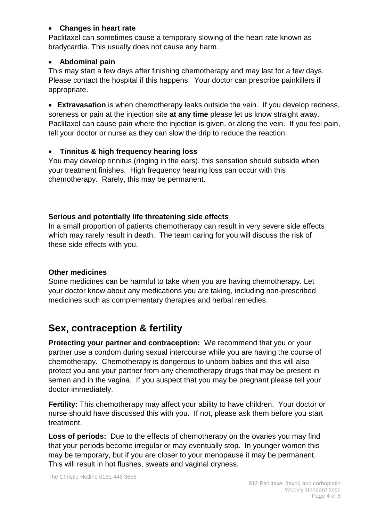#### • **Changes in heart rate**

Paclitaxel can sometimes cause a temporary slowing of the heart rate known as bradycardia. This usually does not cause any harm.

#### • **Abdominal pain**

This may start a few days after finishing chemotherapy and may last for a few days. Please contact the hospital if this happens. Your doctor can prescribe painkillers if appropriate.

• **Extravasation** is when chemotherapy leaks outside the vein. If you develop redness, soreness or pain at the injection site **at any time** please let us know straight away. Paclitaxel can cause pain where the injection is given, or along the vein. If you feel pain, tell your doctor or nurse as they can slow the drip to reduce the reaction.

#### • **Tinnitus & high frequency hearing loss**

You may develop tinnitus (ringing in the ears), this sensation should subside when your treatment finishes. High frequency hearing loss can occur with this chemotherapy. Rarely, this may be permanent.

#### **Serious and potentially life threatening side effects**

In a small proportion of patients chemotherapy can result in very severe side effects which may rarely result in death. The team caring for you will discuss the risk of these side effects with you.

#### **Other medicines**

Some medicines can be harmful to take when you are having chemotherapy. Let your doctor know about any medications you are taking, including non-prescribed medicines such as complementary therapies and herbal remedies.

# **Sex, contraception & fertility**

**Protecting your partner and contraception:** We recommend that you or your partner use a condom during sexual intercourse while you are having the course of chemotherapy. Chemotherapy is dangerous to unborn babies and this will also protect you and your partner from any chemotherapy drugs that may be present in semen and in the vagina. If you suspect that you may be pregnant please tell your doctor immediately.

**Fertility:** This chemotherapy may affect your ability to have children. Your doctor or nurse should have discussed this with you. If not, please ask them before you start treatment.

**Loss of periods:** Due to the effects of chemotherapy on the ovaries you may find that your periods become irregular or may eventually stop. In younger women this may be temporary, but if you are closer to your menopause it may be permanent. This will result in hot flushes, sweats and vaginal dryness.